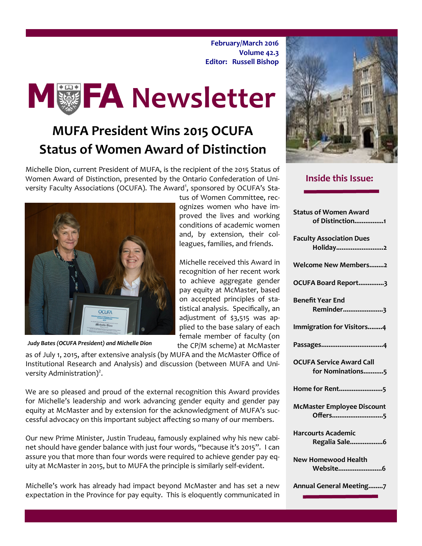**February/March 2016 Volume 42.3 Editor: Russell Bishop**

tus of Women Committee, recognizes women who have improved the lives and working conditions of academic women and, by extension, their colleagues, families, and friends.

Michelle received this Award in recognition of her recent work to achieve aggregate gender pay equity at McMaster, based on accepted principles of statistical analysis. Specifically, an adjustment of \$3,515 was applied to the base salary of each female member of faculty (on the CP/M scheme) at McMaster



### **MUFA President Wins 2015 OCUFA Status of Women Award of Distinction**

Michelle Dion, current President of MUFA, is the recipient of the 2015 Status of Women Award of Distinction, presented by the Ontario Confederation of University Faculty Associations (OCUFA). The Award<sup>1</sup>, sponsored by OCUFA's Sta-



*Judy Bates (OCUFA President) and Michelle Dion*

as of July 1, 2015, after extensive analysis (by MUFA and the McMaster Office of Institutional Research and Analysis) and discussion (between MUFA and University Administration $)^2$ .

We are so pleased and proud of the external recognition this Award provides for Michelle's leadership and work advancing gender equity and gender pay equity at McMaster and by extension for the acknowledgment of MUFA's successful advocacy on this important subject affecting so many of our members.

Our new Prime Minister, Justin Trudeau, famously explained why his new cabinet should have gender balance with just four words, "because it's 2015". I can assure you that more than four words were required to achieve gender pay equity at McMaster in 2015, but to MUFA the principle is similarly self-evident.

Michelle's work has already had impact beyond McMaster and has set a new expectation in the Province for pay equity. This is eloquently communicated in



### **Inside this Issue:**

| <b>Status of Women Award</b><br>of Distinction1     |
|-----------------------------------------------------|
|                                                     |
| <b>Faculty Association Dues</b><br>Holiday2         |
| <b>Welcome New Members2</b>                         |
| OCUFA Board Report3                                 |
| <b>Benefit Year End</b>                             |
| Reminder3                                           |
| Immigration for Visitors4                           |
|                                                     |
| <b>OCUFA Service Award Call</b><br>for Nominations5 |
| Home for Rent5                                      |
| <b>McMaster Employee Discount</b><br>Offers5        |
| <b>Harcourts Academic</b><br>Regalia Sale6          |
| <b>New Homewood Health</b><br>Website6              |
| Annual General Meeting7                             |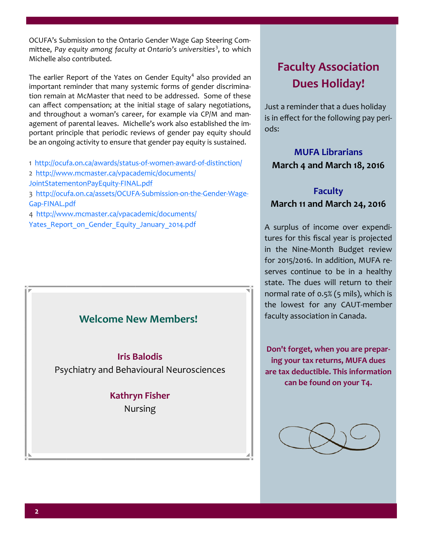OCUFA's Submission to the Ontario Gender Wage Gap Steering Committee, *Pay equity among faculty at Ontario's universities*<sup>3</sup> , to which Michelle also contributed.

The earlier Report of the Yates on Gender Equity<sup>4</sup> also provided an important reminder that many systemic forms of gender discrimination remain at McMaster that need to be addressed. Some of these can affect compensation; at the initial stage of salary negotiations, and throughout a woman's career, for example via CP/M and management of parental leaves. Michelle's work also established the important principle that periodic reviews of gender pay equity should be an ongoing activity to ensure that gender pay equity is sustained.

1 [http://ocufa.on.ca/awards/status](http://ocufa.on.ca/awards/status-of-women-award-of-distinction/)-of-women-award-of-distinction/

- 2 [http://www.mcmaster.ca/vpacademic/documents/](http://www.mcmaster.ca/vpacademic/documents/JointStatementonPayEquity-FINAL.pdf)
- [JointStatementonPayEquity](http://www.mcmaster.ca/vpacademic/documents/JointStatementonPayEquity-FINAL.pdf)-FINAL.pdf

3 [http://ocufa.on.ca/assets/OCUFA](http://ocufa.on.ca/assets/OCUFA-Submission-on-the-Gender-Wage-Gap-FINAL.pdf)-Submission-on-the-Gender-Wage-Gap-[FINAL.pdf](http://ocufa.on.ca/assets/OCUFA-Submission-on-the-Gender-Wage-Gap-FINAL.pdf)

4 [http://www.mcmaster.ca/vpacademic/documents/](http://www.mcmaster.ca/vpacademic/documents/Yates_Report_on_Gender_Equity_January_2014.pdf) [Yates\\_Report\\_on\\_Gender\\_Equity\\_January\\_2014.pdf](http://www.mcmaster.ca/vpacademic/documents/Yates_Report_on_Gender_Equity_January_2014.pdf)

### **Welcome New Members!**

**Iris Balodis**

Psychiatry and Behavioural Neurosciences

### **Kathryn Fisher**  Nursing

### **Faculty Association Dues Holiday!**

Just a reminder that a dues holiday is in effect for the following pay periods:

### **MUFA Librarians March 4 and March 18, 2016**

### **Faculty March 11 and March 24, 2016**

A surplus of income over expenditures for this fiscal year is projected in the Nine-Month Budget review for 2015/2016. In addition, MUFA reserves continue to be in a healthy state. The dues will return to their normal rate of 0.5% (5 mils), which is the lowest for any CAUT-member faculty association in Canada.

**Don't forget, when you are preparing your tax returns, MUFA dues are tax deductible. This information can be found on your T4.**

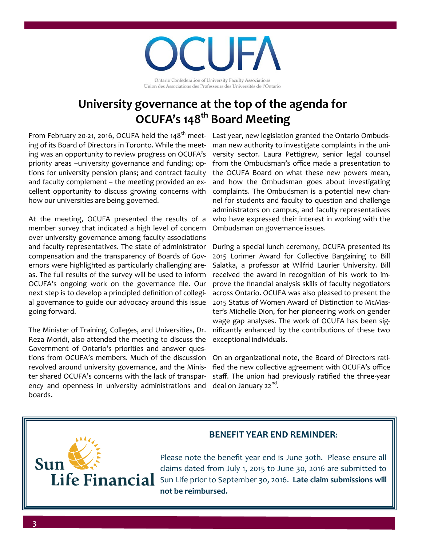71 II Ontario Confederation of University Faculty Associations Union des Associations des Professeurs des Universités de l'Ontario

### **University governance at the top of the agenda for OCUFA's 148th Board Meeting**

ing of its Board of Directors in Toronto. While the meeting was an opportunity to review progress on OCUFA's priority areas –university governance and funding; options for university pension plans; and contract faculty and faculty complement – the meeting provided an excellent opportunity to discuss growing concerns with how our universities are being governed.

At the meeting, OCUFA presented the results of a member survey that indicated a high level of concern over university governance among faculty associations and faculty representatives. The state of administrator compensation and the transparency of Boards of Governors were highlighted as particularly challenging areas. The full results of the survey will be used to inform OCUFA's ongoing work on the governance file. Our next step is to develop a principled definition of collegial governance to guide our advocacy around this issue going forward.

The Minister of Training, Colleges, and Universities, Dr. Reza Moridi, also attended the meeting to discuss the Government of Ontario's priorities and answer questions from OCUFA's members. Much of the discussion revolved around university governance, and the Minister shared OCUFA's concerns with the lack of transparency and openness in university administrations and boards.

From February 20-21, 2016, OCUFA held the 148<sup>th</sup> meet- Last year, new legislation granted the Ontario Ombudsman new authority to investigate complaints in the university sector. Laura Pettigrew, senior legal counsel from the Ombudsman's office made a presentation to the OCUFA Board on what these new powers mean, and how the Ombudsman goes about investigating complaints. The Ombudsman is a potential new channel for students and faculty to question and challenge administrators on campus, and faculty representatives who have expressed their interest in working with the Ombudsman on governance issues.

> During a special lunch ceremony, OCUFA presented its 2015 Lorimer Award for Collective Bargaining to Bill Salatka, a professor at Wilfrid Laurier University. Bill received the award in recognition of his work to improve the financial analysis skills of faculty negotiators across Ontario. OCUFA was also pleased to present the 2015 Status of Women Award of Distinction to McMaster's Michelle Dion, for her pioneering work on gender wage gap analyses. The work of OCUFA has been significantly enhanced by the contributions of these two exceptional individuals.

> On an organizational note, the Board of Directors ratified the new collective agreement with OCUFA's office staff. The union had previously ratified the three-year deal on January 22<sup>nd</sup>.

# **Sun**

### **BENEFIT YEAR END REMINDER**:

Please note the benefit year end is June 30th. Please ensure all claims dated from July 1, 2015 to June 30, 2016 are submitted to Life Financial Sun Life prior to September 30, 2016. Late claim submissions will **not be reimbursed.**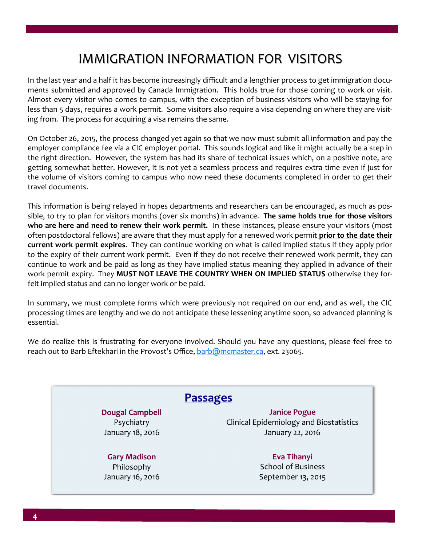### IMMIGRATION INFORMATION FOR VISITORS

In the last year and a half it has become increasingly difficult and a lengthier process to get immigration documents submitted and approved by Canada Immigration. This holds true for those coming to work or visit. Almost every visitor who comes to campus, with the exception of business visitors who will be staying for less than 5 days, requires a work permit. Some visitors also require a visa depending on where they are visiting from. The process for acquiring a visa remains the same.

On October 26, 2015, the process changed yet again so that we now must submit all information and pay the employer compliance fee via a CIC employer portal. This sounds logical and like it might actually be a step in the right direction. However, the system has had its share of technical issues which, on a positive note, are getting somewhat better. However, it is not yet a seamless process and requires extra time even if just for the volume of visitors coming to campus who now need these documents completed in order to get their travel documents.

This information is being relayed in hopes departments and researchers can be encouraged, as much as possible, to try to plan for visitors months (over six months) in advance. **The same holds true for those visitors who are here and need to renew their work permit.** In these instances, please ensure your visitors (most often postdoctoral fellows) are aware that they must apply for a renewed work permit **prior to the date their current work permit expires**. They can continue working on what is called implied status if they apply prior to the expiry of their current work permit. Even if they do not receive their renewed work permit, they can continue to work and be paid as long as they have implied status meaning they applied in advance of their work permit expiry. They **MUST NOT LEAVE THE COUNTRY WHEN ON IMPLIED STATUS** otherwise they forfeit implied status and can no longer work or be paid.

In summary, we must complete forms which were previously not required on our end, and as well, the CIC processing times are lengthy and we do not anticipate these lessening anytime soon, so advanced planning is essential.

We do realize this is frustrating for everyone involved. Should you have any questions, please feel free to reach out to Barb Eftekhari in the Provost's Office, [barb@mcmaster.ca,](mailto:barb@mcmaster.ca) ext. 23065.

### **Passages**

**Dougal Campbell** Psychiatry January 18, 2016

**Gary Madison** Philosophy January 16, 2016

**Janice Pogue** Clinical Epidemiology and Biostatistics January 22, 2016

> **Eva Tihanyi** School of Business September 13, 2015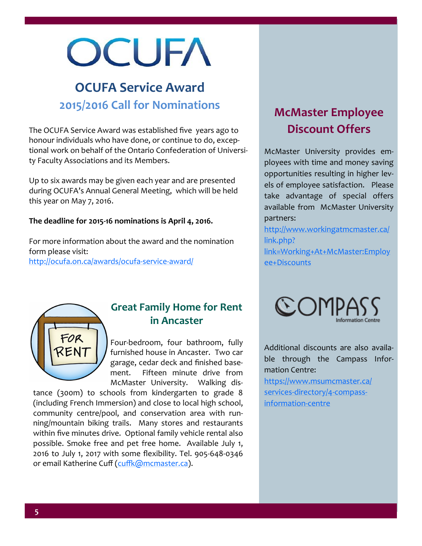## OCUFA

### **OCUFA Service Award 2015/2016 Call for Nominations**

The OCUFA Service Award was established five years ago to honour individuals who have done, or continue to do, exceptional work on behalf of the Ontario Confederation of University Faculty Associations and its Members.

Up to six awards may be given each year and are presented during OCUFA's Annual General Meeting, which will be held this year on May 7, 2016.

### **The deadline for 2015-16 nominations is April 4, 2016.**

For more information about the award and the nomination form please visit: [http://ocufa.on.ca/awards/ocufa](http://ocufa.on.ca/awards/ocufa-service-award/)-service-award/

### **McMaster Employee Discount Offers**

McMaster University provides employees with time and money saving opportunities resulting in higher levels of employee satisfaction. Please take advantage of special offers available from McMaster University partners:

[http://www.workingatmcmaster.ca/](http://www.workingatmcmaster.ca/link.php?link=Working+At+McMaster:Employee+Discounts) [link.php?](http://www.workingatmcmaster.ca/link.php?link=Working+At+McMaster:Employee+Discounts) [link=Working+At+McMaster:Employ](http://www.workingatmcmaster.ca/link.php?link=Working+At+McMaster:Employee+Discounts) [ee+Discounts](http://www.workingatmcmaster.ca/link.php?link=Working+At+McMaster:Employee+Discounts)



### **Great Family Home for Rent in Ancaster**

Four-bedroom, four bathroom, fully furnished house in Ancaster. Two car garage, cedar deck and finished basement. Fifteen minute drive from McMaster University. Walking dis-

tance (300m) to schools from kindergarten to grade 8 (including French Immersion) and close to local high school, community centre/pool, and conservation area with running/mountain biking trails. Many stores and restaurants within five minutes drive. Optional family vehicle rental also possible. Smoke free and pet free home. Available July 1, 2016 to July 1, 2017 with some flexibility. Tel. 905-648-0346 or email Katherine Cuff ([cuffk@mcmaster.ca\)](mailto:cuffk@mcmaster.ca).



Additional discounts are also available through the Campass Information Centre:

[https://www.msumcmaster.ca/](https://www.msumcmaster.ca/services-directory/4-compass-information-centre) services-[directory/4](https://www.msumcmaster.ca/services-directory/4-compass-information-centre)-compass[information](https://www.msumcmaster.ca/services-directory/4-compass-information-centre)-centre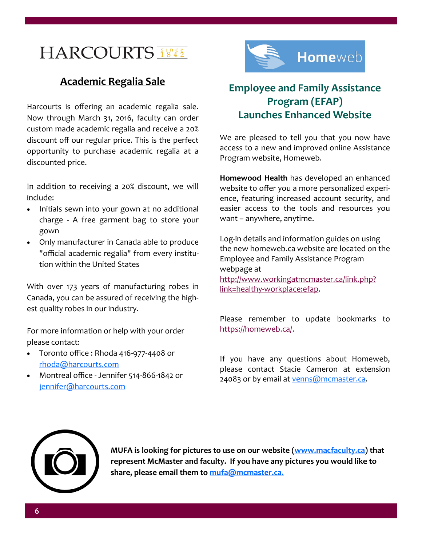### HARCOURTS **Since**

### **Academic Regalia Sale**

Harcourts is offering an academic regalia sale. Now through March 31, 2016, faculty can order custom made academic regalia and receive a 20% discount off our regular price. This is the perfect opportunity to purchase academic regalia at a discounted price.

In addition to receiving a 20% discount, we will include:

- Initials sewn into your gown at no additional charge - A free garment bag to store your gown
- Only manufacturer in Canada able to produce "official academic regalia" from every institution within the United States

With over 173 years of manufacturing robes in Canada, you can be assured of receiving the highest quality robes in our industry.

For more information or help with your order please contact:

- Toronto office : Rhoda 416-977-4408 or [rhoda@harcourts.com](mailto:rhoda@harcourts.com)
- Montreal office Jennifer 514-866-1842 or [jennifer@harcourts.com](mailto:jennifer@harcourts.com)



### **Employee and Family Assistance Program (EFAP) Launches Enhanced Website**

We are pleased to tell you that you now have access to a new and improved online Assistance Program website, Homeweb.

**Homewood Health** has developed an enhanced website to offer you a more personalized experience, featuring increased account security, and easier access to the tools and resources you want – anywhere, anytime.

Log-in details and information guides on using the new homeweb.ca website are located on the Employee and Family Assistance Program webpage at [http://www.workingatmcmaster.ca/link.php?](http://www.workingatmcmaster.ca/link.php?link=healthy-workplace:efap) link=healthy-[workplace:efap.](http://www.workingatmcmaster.ca/link.php?link=healthy-workplace:efap)

Please remember to update bookmarks to [https://homeweb.ca/.](https://homeweb.ca/)

If you have any questions about Homeweb, please contact Stacie Cameron at extension 24083 or by email at [venns@mcmaster.ca.](mailto:venns@mcmaster.ca)



**MUFA is looking for pictures to use on our website ([www.macfaculty.ca\)](http://www.macfaculty.ca) that represent McMaster and faculty. If you have any pictures you would like to share, please email them to [mufa@mcmaster.ca.](mailto:mufa@mcmaster.ca)**